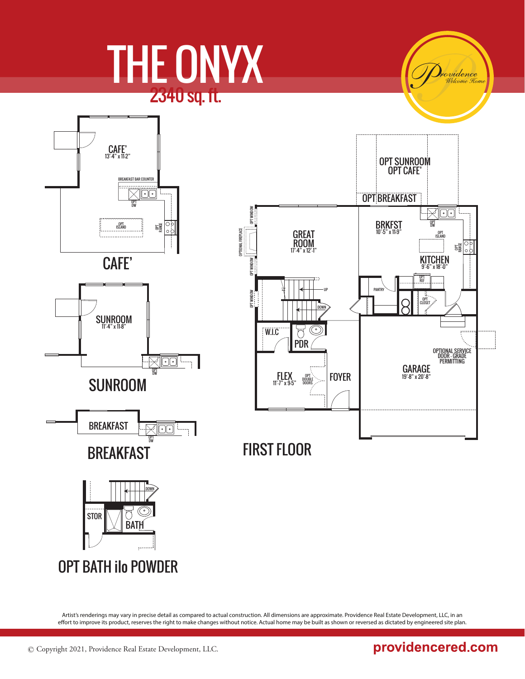# THE ONYX 2340 sq. ft.

rvidence





Artist's renderings may vary in precise detail as compared to actual construction. All dimensions are approximate. Providence Real Estate Development, LLC, in an effort to improve its product, reserves the right to make changes without notice. Actual home may be built as shown or reversed as dictated by engineered site plan.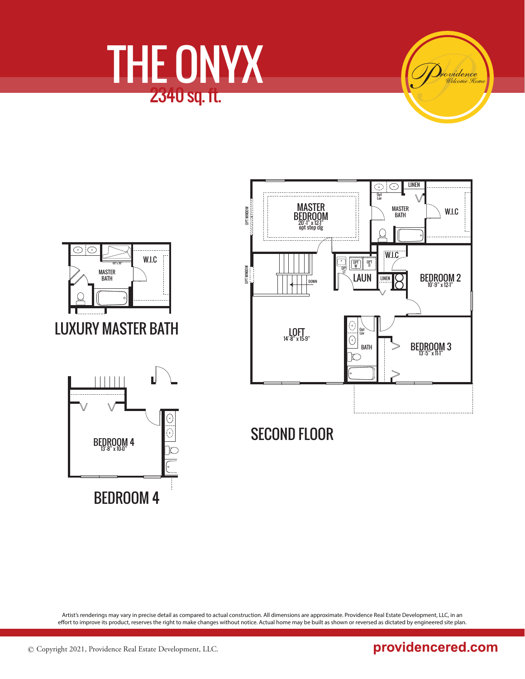





Artist's renderings may vary in precise detail as compared to actual construction. All dimensions are approximate. Providence Real Estate Development, LLC, in an effort to improve its product, reserves the right to make changes without notice. Actual home may be built as shown or reversed as dictated by engineered site plan.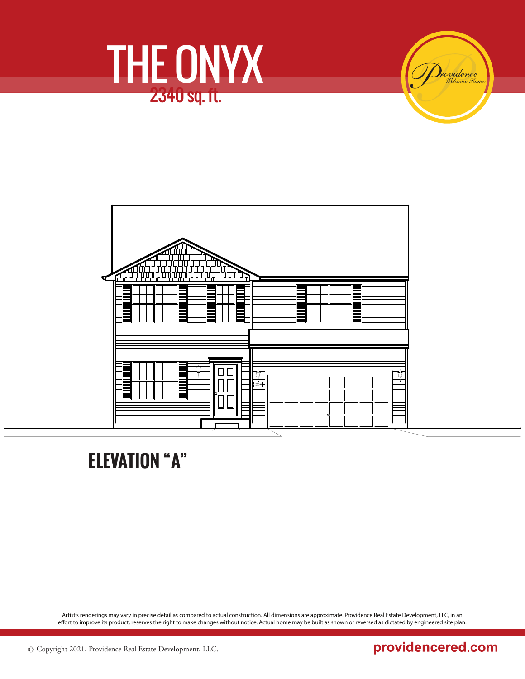





**ELEVATION "A"**

Artist's renderings may vary in precise detail as compared to actual construction. All dimensions are approximate. Providence Real Estate Development, LLC, in an effort to improve its product, reserves the right to make changes without notice. Actual home may be built as shown or reversed as dictated by engineered site plan.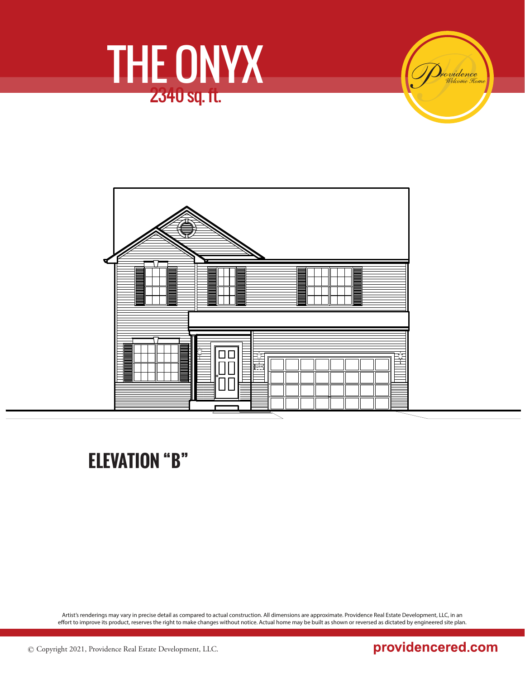

i<mark>o vidence</mark><br>Welcome Tom



## **ELEVATION "B"**

Artist's renderings may vary in precise detail as compared to actual construction. All dimensions are approximate. Providence Real Estate Development, LLC, in an effort to improve its product, reserves the right to make changes without notice. Actual home may be built as shown or reversed as dictated by engineered site plan.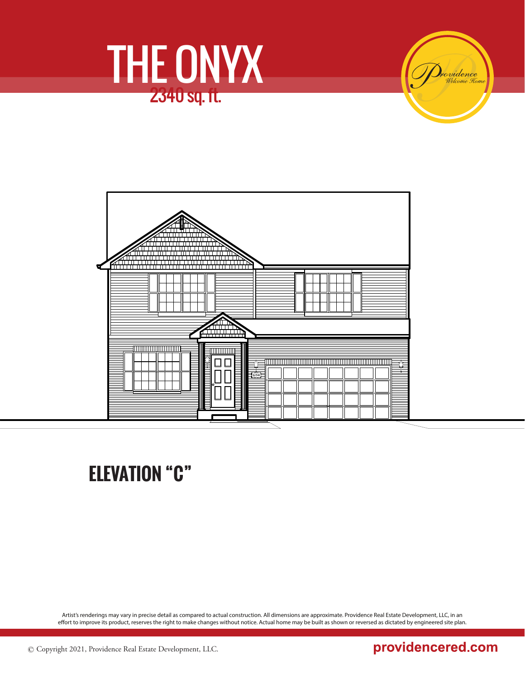





### **ELEVATION "C"**

Artist's renderings may vary in precise detail as compared to actual construction. All dimensions are approximate. Providence Real Estate Development, LLC, in an effort to improve its product, reserves the right to make changes without notice. Actual home may be built as shown or reversed as dictated by engineered site plan.